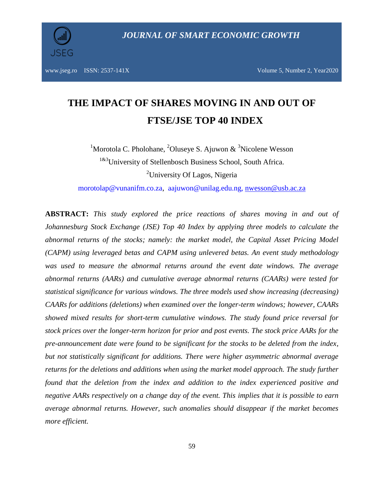

www.jseg.ro ISSN: 2537-141X Volume 5, Number 2, Year2020

# **THE IMPACT OF SHARES MOVING IN AND OUT OF FTSE/JSE TOP 40 INDEX**

<sup>1</sup>Morotola C. Pholohane, <sup>2</sup>Oluseye S. Ajuwon  $\&$  <sup>3</sup>Nicolene Wesson <sup>1&3</sup>University of Stellenbosch Business School, South Africa. <sup>2</sup>University Of Lagos, Nigeria

[morotolap@vunanifm.co.za,](mailto:morotolap@vunanifm.co.za) [aajuwon@unilag.edu.ng,](mailto:aajuwon@unilag.edu.ng) [nwesson@usb.ac.za](mailto:nwesson@usb.ac.za)

**ABSTRACT:** *This study explored the price reactions of shares moving in and out of Johannesburg Stock Exchange (JSE) Top 40 Index by applying three models to calculate the abnormal returns of the stocks; namely: the market model, the Capital Asset Pricing Model (CAPM) using leveraged betas and CAPM using unlevered betas. An event study methodology was used to measure the abnormal returns around the event date windows. The average abnormal returns (AARs) and cumulative average abnormal returns (CAARs) were tested for statistical significance for various windows. The three models used show increasing (decreasing) CAARs for additions (deletions) when examined over the longer-term windows; however, CAARs showed mixed results for short-term cumulative windows. The study found price reversal for stock prices over the longer-term horizon for prior and post events. The stock price AARs for the pre-announcement date were found to be significant for the stocks to be deleted from the index, but not statistically significant for additions. There were higher asymmetric abnormal average returns for the deletions and additions when using the market model approach. The study further found that the deletion from the index and addition to the index experienced positive and negative AARs respectively on a change day of the event. This implies that it is possible to earn average abnormal returns. However, such anomalies should disappear if the market becomes more efficient.*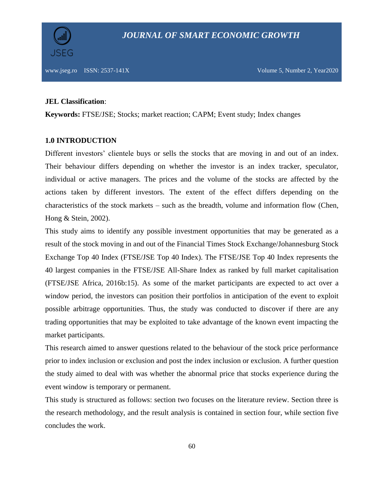#### **JEL Classification**:

**Keywords:** FTSE/JSE; Stocks; market reaction; CAPM; Event study; Index changes

## **1.0 INTRODUCTION**

Different investors' clientele buys or sells the stocks that are moving in and out of an index. Their behaviour differs depending on whether the investor is an index tracker, speculator, individual or active managers. The prices and the volume of the stocks are affected by the actions taken by different investors. The extent of the effect differs depending on the characteristics of the stock markets – such as the breadth, volume and information flow (Chen, Hong & Stein, 2002).

This study aims to identify any possible investment opportunities that may be generated as a result of the stock moving in and out of the Financial Times Stock Exchange/Johannesburg Stock Exchange Top 40 Index (FTSE/JSE Top 40 Index). The FTSE/JSE Top 40 Index represents the 40 largest companies in the FTSE/JSE All-Share Index as ranked by full market capitalisation (FTSE/JSE Africa, 2016b:15). As some of the market participants are expected to act over a window period, the investors can position their portfolios in anticipation of the event to exploit possible arbitrage opportunities. Thus, the study was conducted to discover if there are any trading opportunities that may be exploited to take advantage of the known event impacting the market participants.

This research aimed to answer questions related to the behaviour of the stock price performance prior to index inclusion or exclusion and post the index inclusion or exclusion. A further question the study aimed to deal with was whether the abnormal price that stocks experience during the event window is temporary or permanent.

This study is structured as follows: section two focuses on the literature review. Section three is the research methodology, and the result analysis is contained in section four, while section five concludes the work.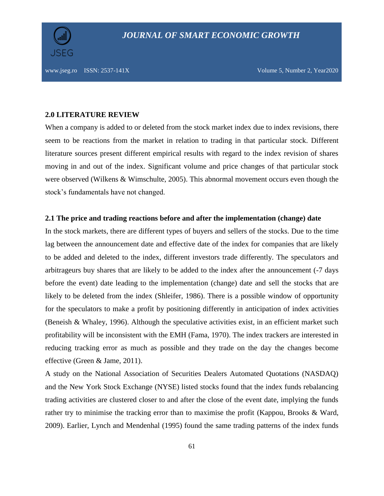

#### **2.0 LITERATURE REVIEW**

When a company is added to or deleted from the stock market index due to index revisions, there seem to be reactions from the market in relation to trading in that particular stock. Different literature sources present different empirical results with regard to the index revision of shares moving in and out of the index. Significant volume and price changes of that particular stock were observed (Wilkens & Wimschulte, 2005). This abnormal movement occurs even though the stock's fundamentals have not changed.

### **2.1 The price and trading reactions before and after the implementation (change) date**

In the stock markets, there are different types of buyers and sellers of the stocks. Due to the time lag between the announcement date and effective date of the index for companies that are likely to be added and deleted to the index, different investors trade differently. The speculators and arbitrageurs buy shares that are likely to be added to the index after the announcement (-7 days before the event) date leading to the implementation (change) date and sell the stocks that are likely to be deleted from the index (Shleifer, 1986). There is a possible window of opportunity for the speculators to make a profit by positioning differently in anticipation of index activities (Beneish & Whaley, 1996). Although the speculative activities exist, in an efficient market such profitability will be inconsistent with the EMH (Fama, 1970). The index trackers are interested in reducing tracking error as much as possible and they trade on the day the changes become effective (Green & Jame, 2011).

A study on the National Association of Securities Dealers Automated Quotations (NASDAQ) and the New York Stock Exchange (NYSE) listed stocks found that the index funds rebalancing trading activities are clustered closer to and after the close of the event date, implying the funds rather try to minimise the tracking error than to maximise the profit (Kappou, Brooks & Ward, 2009). Earlier, Lynch and Mendenhal (1995) found the same trading patterns of the index funds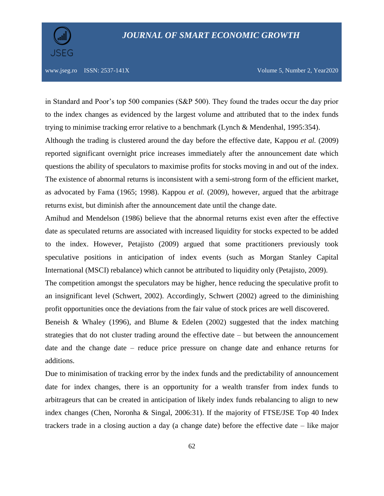

www.jseg.ro ISSN: 2537-141X Volume 5, Number 2, Year2020

in Standard and Poor's top 500 companies (S&P 500). They found the trades occur the day prior to the index changes as evidenced by the largest volume and attributed that to the index funds trying to minimise tracking error relative to a benchmark (Lynch & Mendenhal, 1995:354).

Although the trading is clustered around the day before the effective date, Kappou *et al.* (2009) reported significant overnight price increases immediately after the announcement date which questions the ability of speculators to maximise profits for stocks moving in and out of the index. The existence of abnormal returns is inconsistent with a semi-strong form of the efficient market, as advocated by Fama (1965; 1998). Kappou *et al.* (2009), however, argued that the arbitrage returns exist, but diminish after the announcement date until the change date.

Amihud and Mendelson (1986) believe that the abnormal returns exist even after the effective date as speculated returns are associated with increased liquidity for stocks expected to be added to the index. However, Petajisto (2009) argued that some practitioners previously took speculative positions in anticipation of index events (such as Morgan Stanley Capital International (MSCI) rebalance) which cannot be attributed to liquidity only (Petajisto, 2009).

The competition amongst the speculators may be higher, hence reducing the speculative profit to an insignificant level (Schwert, 2002). Accordingly, Schwert (2002) agreed to the diminishing profit opportunities once the deviations from the fair value of stock prices are well discovered.

Beneish & Whaley (1996), and Blume & Edelen (2002) suggested that the index matching strategies that do not cluster trading around the effective date – but between the announcement date and the change date – reduce price pressure on change date and enhance returns for additions.

Due to minimisation of tracking error by the index funds and the predictability of announcement date for index changes, there is an opportunity for a wealth transfer from index funds to arbitrageurs that can be created in anticipation of likely index funds rebalancing to align to new index changes (Chen, Noronha & Singal, 2006:31). If the majority of FTSE/JSE Top 40 Index trackers trade in a closing auction a day (a change date) before the effective date – like major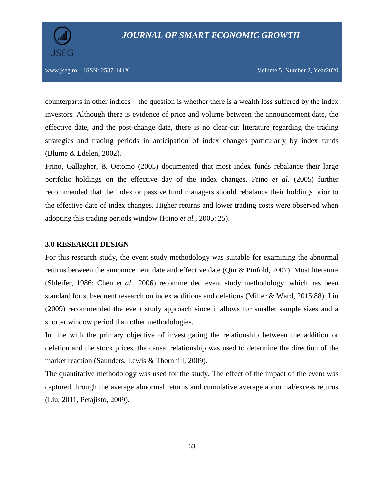

www.jseg.ro ISSN: 2537-141X Volume 5, Number 2, Year2020

counterparts in other indices – the question is whether there is a wealth loss suffered by the index investors. Although there is evidence of price and volume between the announcement date, the effective date, and the post-change date, there is no clear-cut literature regarding the trading strategies and trading periods in anticipation of index changes particularly by index funds (Blume & Edelen, 2002).

Frino, Gallagher, & Oetomo (2005) documented that most index funds rebalance their large portfolio holdings on the effective day of the index changes. Frino *et al.* (2005) further recommended that the index or passive fund managers should rebalance their holdings prior to the effective date of index changes. Higher returns and lower trading costs were observed when adopting this trading periods window (Frino *et al.*, 2005: 25).

#### **3.0 RESEARCH DESIGN**

For this research study, the event study methodology was suitable for examining the abnormal returns between the announcement date and effective date (Qiu & Pinfold, 2007). Most literature (Shleifer, 1986; Chen *et al*., 2006) recommended event study methodology, which has been standard for subsequent research on index additions and deletions (Miller & Ward, 2015:88). Liu (2009) recommended the event study approach since it allows for smaller sample sizes and a shorter window period than other methodologies.

In line with the primary objective of investigating the relationship between the addition or deletion and the stock prices, the causal relationship was used to determine the direction of the market reaction (Saunders, Lewis & Thornhill, 2009).

The quantitative methodology was used for the study. The effect of the impact of the event was captured through the average abnormal returns and cumulative average abnormal/excess returns (Liu, 2011, Petajisto, 2009).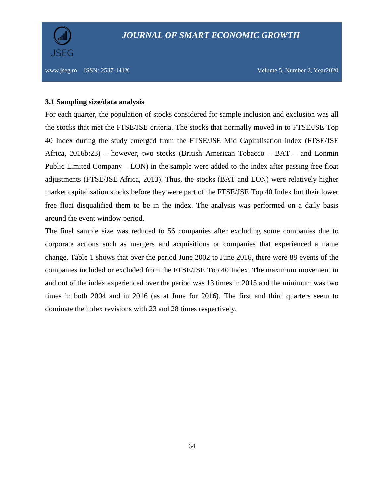

## **3.1 Sampling size/data analysis**

For each quarter, the population of stocks considered for sample inclusion and exclusion was all the stocks that met the FTSE/JSE criteria. The stocks that normally moved in to FTSE/JSE Top 40 Index during the study emerged from the FTSE/JSE Mid Capitalisation index (FTSE/JSE Africa, 2016b:23) – however, two stocks (British American Tobacco – BAT – and Lonmin Public Limited Company – LON) in the sample were added to the index after passing free float adjustments (FTSE/JSE Africa, 2013). Thus, the stocks (BAT and LON) were relatively higher market capitalisation stocks before they were part of the FTSE/JSE Top 40 Index but their lower free float disqualified them to be in the index. The analysis was performed on a daily basis around the event window period.

The final sample size was reduced to 56 companies after excluding some companies due to corporate actions such as mergers and acquisitions or companies that experienced a name change. Table 1 shows that over the period June 2002 to June 2016, there were 88 events of the companies included or excluded from the FTSE/JSE Top 40 Index. The maximum movement in and out of the index experienced over the period was 13 times in 2015 and the minimum was two times in both 2004 and in 2016 (as at June for 2016). The first and third quarters seem to dominate the index revisions with 23 and 28 times respectively.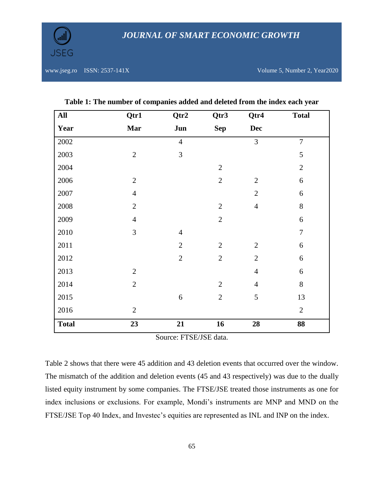

www.jseg.ro ISSN: 2537-141X Volume 5, Number 2, Year2020

| All          | Qtr1           | Qtr2           | Qtr3           | Qtr4           | <b>Total</b>   |
|--------------|----------------|----------------|----------------|----------------|----------------|
| Year         | <b>Mar</b>     | Jun            | <b>Sep</b>     | <b>Dec</b>     |                |
| 2002         |                | $\overline{4}$ |                | $\overline{3}$ | $\overline{7}$ |
| 2003         | $\mathbf{2}$   | $\overline{3}$ |                |                | 5              |
| 2004         |                |                | $\mathbf{2}$   |                | $\overline{2}$ |
| 2006         | $\overline{2}$ |                | $\overline{2}$ | $\overline{2}$ | $\sqrt{6}$     |
| 2007         | $\overline{4}$ |                |                | $\overline{2}$ | 6              |
| 2008         | $\overline{2}$ |                | $\mathbf{2}$   | $\overline{4}$ | 8              |
| 2009         | $\overline{4}$ |                | $\overline{2}$ |                | 6              |
| 2010         | 3              | $\overline{4}$ |                |                | $\overline{7}$ |
| 2011         |                | $\overline{2}$ | $\overline{2}$ | $\overline{2}$ | $\sqrt{6}$     |
| 2012         |                | $\overline{2}$ | $\overline{2}$ | $\overline{2}$ | 6              |
| 2013         | $\mathbf{2}$   |                |                | $\overline{4}$ | 6              |
| 2014         | $\overline{2}$ |                | $\overline{2}$ | $\overline{4}$ | $8\,$          |
| 2015         |                | 6              | $\overline{2}$ | 5              | 13             |
| 2016         | $\overline{2}$ |                |                |                | $\overline{2}$ |
| <b>Total</b> | 23             | 21             | 16             | 28             | 88             |

**Table 1: The number of companies added and deleted from the index each year**

Source: FTSE/JSE data.

Table 2 shows that there were 45 addition and 43 deletion events that occurred over the window. The mismatch of the addition and deletion events (45 and 43 respectively) was due to the dually listed equity instrument by some companies. The FTSE/JSE treated those instruments as one for index inclusions or exclusions. For example, Mondi's instruments are MNP and MND on the FTSE/JSE Top 40 Index, and Investec's equities are represented as INL and INP on the index.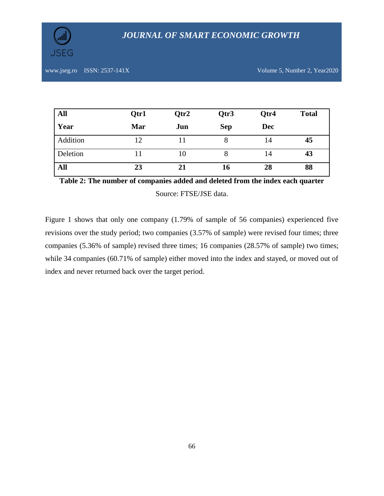

| All      | Qtr1 | Qtr2 | Qtr3       | Qtr4       | <b>Total</b> |
|----------|------|------|------------|------------|--------------|
| Year     | Mar  | Jun  | <b>Sep</b> | <b>Dec</b> |              |
| Addition |      |      |            | 14         | 45           |
| Deletion |      | 10   |            | 14         | 43           |
| All      | 23   | 21   | 16         | 28         | 88           |

**Table 2: The number of companies added and deleted from the index each quarter** Source: FTSE/JSE data.

Figure 1 shows that only one company (1.79% of sample of 56 companies) experienced five revisions over the study period; two companies (3.57% of sample) were revised four times; three companies (5.36% of sample) revised three times; 16 companies (28.57% of sample) two times; while 34 companies (60.71% of sample) either moved into the index and stayed, or moved out of index and never returned back over the target period.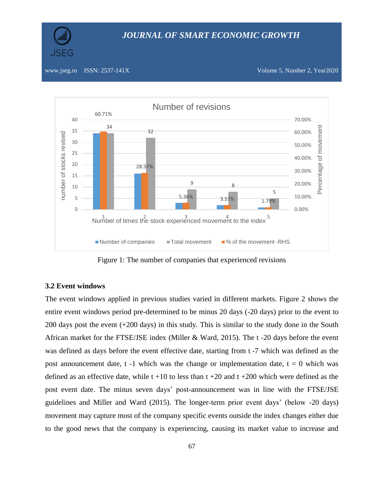



#### www.jseg.ro ISSN: 2537-141X Volume 5, Number 2, Year2020



Figure 1: The number of companies that experienced revisions

## **3.2 Event windows**

The event windows applied in previous studies varied in different markets. Figure 2 shows the entire event windows period pre-determined to be minus 20 days (-20 days) prior to the event to 200 days post the event (+200 days) in this study. This is similar to the study done in the South African market for the FTSE/JSE index (Miller & Ward, 2015). The t -20 days before the event was defined as days before the event effective date, starting from t -7 which was defined as the post announcement date,  $t -1$  which was the change or implementation date,  $t = 0$  which was defined as an effective date, while  $t +10$  to less than  $t +20$  and  $t +200$  which were defined as the post event date. The minus seven days' post-announcement was in line with the FTSE/JSE guidelines and Miller and Ward (2015). The longer-term prior event days' (below -20 days) movement may capture most of the company specific events outside the index changes either due to the good news that the company is experiencing, causing its market value to increase and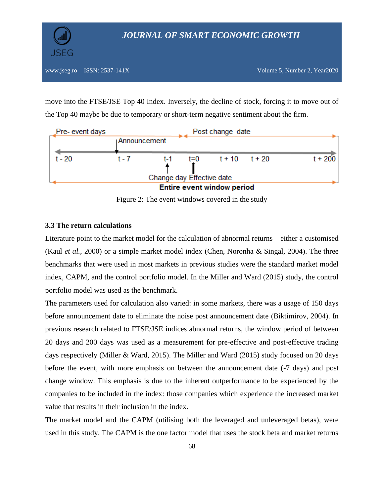

move into the FTSE/JSE Top 40 Index. Inversely, the decline of stock, forcing it to move out of the Top 40 maybe be due to temporary or short-term negative sentiment about the firm.



Figure 2: The event windows covered in the study

## **3.3 The return calculations**

Literature point to the market model for the calculation of abnormal returns – either a customised (Kaul *et al.*, 2000) or a simple market model index (Chen, Noronha & Singal, 2004). The three benchmarks that were used in most markets in previous studies were the standard market model index, CAPM, and the control portfolio model. In the Miller and Ward (2015) study, the control portfolio model was used as the benchmark.

The parameters used for calculation also varied: in some markets, there was a usage of 150 days before announcement date to eliminate the noise post announcement date (Biktimirov, 2004). In previous research related to FTSE/JSE indices abnormal returns, the window period of between 20 days and 200 days was used as a measurement for pre-effective and post-effective trading days respectively (Miller & Ward, 2015). The Miller and Ward (2015) study focused on 20 days before the event, with more emphasis on between the announcement date (-7 days) and post change window. This emphasis is due to the inherent outperformance to be experienced by the companies to be included in the index: those companies which experience the increased market value that results in their inclusion in the index.

The market model and the CAPM (utilising both the leveraged and unleveraged betas), were used in this study. The CAPM is the one factor model that uses the stock beta and market returns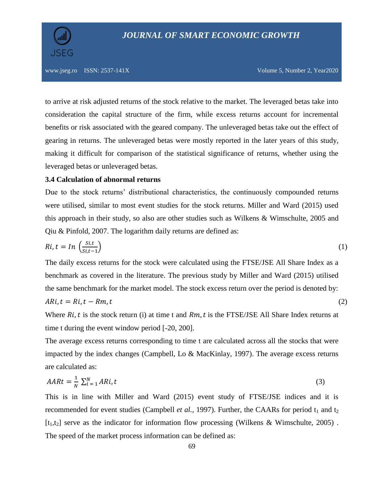

to arrive at risk adjusted returns of the stock relative to the market. The leveraged betas take into consideration the capital structure of the firm, while excess returns account for incremental benefits or risk associated with the geared company. The unleveraged betas take out the effect of gearing in returns. The unleveraged betas were mostly reported in the later years of this study, making it difficult for comparison of the statistical significance of returns, whether using the leveraged betas or unleveraged betas.

## **3.4 Calculation of abnormal returns**

Due to the stock returns' distributional characteristics, the continuously compounded returns were utilised, similar to most event studies for the stock returns. Miller and Ward (2015) used this approach in their study, so also are other studies such as Wilkens & Wimschulte, 2005 and Qiu & Pinfold, 2007. The logarithm daily returns are defined as:

$$
Ri, t = In\left(\frac{Si, t}{Si, t-1}\right) \tag{1}
$$

The daily excess returns for the stock were calculated using the FTSE/JSE All Share Index as a benchmark as covered in the literature. The previous study by Miller and Ward (2015) utilised the same benchmark for the market model. The stock excess return over the period is denoted by:

$$
ARi, t = Ri, t - Rm, t \tag{2}
$$

Where  $Ri$ , t is the stock return (i) at time t and  $Rm$ , t is the FTSE/JSE All Share Index returns at time t during the event window period [-20, 200].

The average excess returns corresponding to time t are calculated across all the stocks that were impacted by the index changes (Campbell, Lo & MacKinlay, 1997). The average excess returns are calculated as:

$$
AARt = \frac{1}{N} \sum_{i=1}^{N} ARi, t \tag{3}
$$

This is in line with Miller and Ward (2015) event study of FTSE/JSE indices and it is recommended for event studies (Campbell *et al.*, 1997). Further, the CAARs for period  $t_1$  and  $t_2$  $[t_1,t_2]$  serve as the indicator for information flow processing (Wilkens & Wimschulte, 2005). The speed of the market process information can be defined as: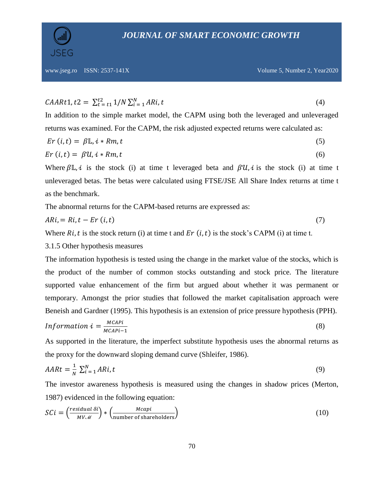

$$
CAARt1, t2 = \sum_{t=t1}^{t2} 1/N \sum_{i=1}^{N} ARi, t
$$
\n(4)

In addition to the simple market model, the CAPM using both the leveraged and unleveraged returns was examined. For the CAPM, the risk adjusted expected returns were calculated as:

$$
Er (i, t) = \beta \mathbb{L}, i * Rm, t \tag{5}
$$

$$
Er (i, t) = \beta U, i * Rm, t \tag{6}
$$

Where  $\beta \mathbb{L}, i$  is the stock (i) at time t leveraged beta and  $\beta \mathcal{U}, i$  is the stock (i) at time t unleveraged betas. The betas were calculated using FTSE/JSE All Share Index returns at time t as the benchmark.

The abnormal returns for the CAPM-based returns are expressed as:

$$
ARi = Ri, t - Er (i, t) \tag{7}
$$

Where  $Ri$ , t is the stock return (i) at time t and  $Er$  (i, t) is the stock's CAPM (i) at time t.

3.1.5 Other hypothesis measures

The information hypothesis is tested using the change in the market value of the stocks, which is the product of the number of common stocks outstanding and stock price. The literature supported value enhancement of the firm but argued about whether it was permanent or temporary. Amongst the prior studies that followed the market capitalisation approach were Beneish and Gardner (1995). This hypothesis is an extension of price pressure hypothesis (PPH).

$$
Information i = \frac{MCAPi}{MCAPi - 1}
$$
 (8)

As supported in the literature, the imperfect substitute hypothesis uses the abnormal returns as the proxy for the downward sloping demand curve (Shleifer, 1986).

$$
AARt = \frac{1}{N} \sum_{i=1}^{N} ARi, t \tag{9}
$$

The investor awareness hypothesis is measured using the changes in shadow prices (Merton, 1987) evidenced in the following equation:

$$
SCI = \left(\frac{residual \delta i}{MV\mathcal{M}}\right) * \left(\frac{Mcapi}{number \ of \ shared olders}\right)
$$
 (10)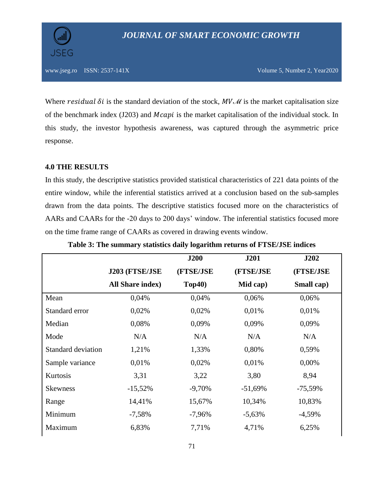Where residual  $\delta i$  is the standard deviation of the stock,  $MV\mathcal{M}$  is the market capitalisation size of the benchmark index  $(J203)$  and  $Mcapi$  is the market capitalisation of the individual stock. In this study, the investor hypothesis awareness, was captured through the asymmetric price response.

## **4.0 THE RESULTS**

In this study, the descriptive statistics provided statistical characteristics of 221 data points of the entire window, while the inferential statistics arrived at a conclusion based on the sub-samples drawn from the data points. The descriptive statistics focused more on the characteristics of AARs and CAARs for the -20 days to 200 days' window. The inferential statistics focused more on the time frame range of CAARs as covered in drawing events window.

|                    |                         | <b>J200</b> | <b>J201</b> | <b>J202</b> |
|--------------------|-------------------------|-------------|-------------|-------------|
|                    | J203 (FTSE/JSE          | (FTSE/JSE   | (FTSE/JSE   | (FTSE/JSE   |
|                    | <b>All Share index)</b> | Top40)      | Mid cap)    | Small cap)  |
| Mean               | 0,04%                   | 0,04%       | 0,06%       | 0,06%       |
| Standard error     | 0,02%                   | 0,02%       | 0,01%       | 0,01%       |
| Median             | 0,08%                   | 0,09%       | 0,09%       | 0,09%       |
| Mode               | N/A                     | N/A         | N/A         | N/A         |
| Standard deviation | 1,21%                   | 1,33%       | 0,80%       | 0,59%       |
| Sample variance    | 0,01%                   | 0,02%       | 0,01%       | 0,00%       |
| Kurtosis           | 3,31                    | 3,22        | 3,80        | 8,94        |
| <b>Skewness</b>    | $-15,52%$               | $-9,70%$    | $-51,69\%$  | $-75,59\%$  |
| Range              | 14,41%                  | 15,67%      | 10,34%      | 10,83%      |
| Minimum            | $-7,58%$                | $-7,96%$    | $-5,63\%$   | $-4,59%$    |
| Maximum            | 6,83%                   | 7,71%       | 4,71%       | 6,25%       |

**Table 3: The summary statistics daily logarithm returns of FTSE/JSE indices**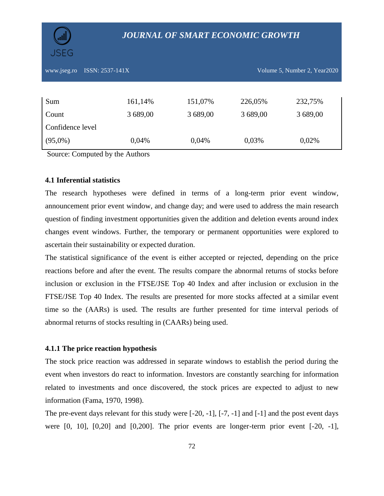

## *JOURNAL OF SMART ECONOMIC GROWTH*

www.jseg.ro ISSN: 2537-141X Volume 5, Number 2, Year2020

| Sum              | 161,14%  | 151,07%  | 226,05%  | 232,75%  |
|------------------|----------|----------|----------|----------|
| Count            | 3 689,00 | 3 689,00 | 3 689,00 | 3 689,00 |
| Confidence level |          |          |          |          |
| $(95,0\%)$       | 0,04%    | 0,04%    | 0,03%    | 0,02%    |

Source: Computed by the Authors

## **4.1 Inferential statistics**

The research hypotheses were defined in terms of a long-term prior event window, announcement prior event window, and change day; and were used to address the main research question of finding investment opportunities given the addition and deletion events around index changes event windows. Further, the temporary or permanent opportunities were explored to ascertain their sustainability or expected duration.

The statistical significance of the event is either accepted or rejected, depending on the price reactions before and after the event. The results compare the abnormal returns of stocks before inclusion or exclusion in the FTSE/JSE Top 40 Index and after inclusion or exclusion in the FTSE/JSE Top 40 Index. The results are presented for more stocks affected at a similar event time so the (AARs) is used. The results are further presented for time interval periods of abnormal returns of stocks resulting in (CAARs) being used.

#### **4.1.1 The price reaction hypothesis**

The stock price reaction was addressed in separate windows to establish the period during the event when investors do react to information. Investors are constantly searching for information related to investments and once discovered, the stock prices are expected to adjust to new information (Fama, 1970, 1998).

The pre-event days relevant for this study were  $[-20, -1]$ ,  $[-7, -1]$  and  $[-1]$  and the post event days were  $[0, 10]$ ,  $[0, 20]$  and  $[0, 200]$ . The prior events are longer-term prior event  $[-20, -1]$ ,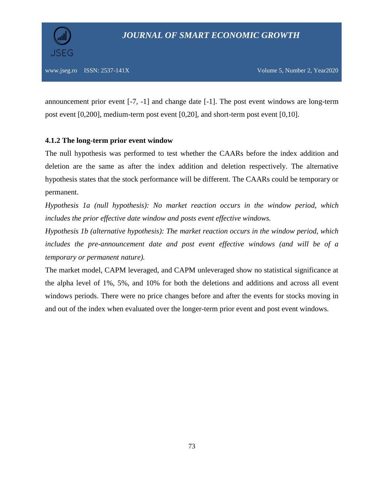announcement prior event [-7, -1] and change date [-1]. The post event windows are long-term post event [0,200], medium-term post event [0,20], and short-term post event [0,10].

## **4.1.2 The long-term prior event window**

The null hypothesis was performed to test whether the CAARs before the index addition and deletion are the same as after the index addition and deletion respectively. The alternative hypothesis states that the stock performance will be different. The CAARs could be temporary or permanent.

*Hypothesis 1a (null hypothesis): No market reaction occurs in the window period, which includes the prior effective date window and posts event effective windows.* 

*Hypothesis 1b (alternative hypothesis): The market reaction occurs in the window period, which includes the pre-announcement date and post event effective windows (and will be of a temporary or permanent nature).*

The market model, CAPM leveraged, and CAPM unleveraged show no statistical significance at the alpha level of 1%, 5%, and 10% for both the deletions and additions and across all event windows periods. There were no price changes before and after the events for stocks moving in and out of the index when evaluated over the longer-term prior event and post event windows.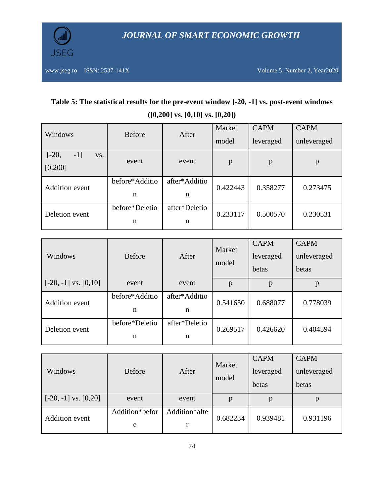

# **Table 5: The statistical results for the pre-event window [-20, -1] vs. post-event windows ([0,200] vs. [0,10] vs. [0,20])**

| Windows                             | <b>Before</b>  | After         | Market<br>model | <b>CAPM</b><br>leveraged | <b>CAPM</b><br>unleveraged |  |
|-------------------------------------|----------------|---------------|-----------------|--------------------------|----------------------------|--|
| $[-20,$<br>$-1$ ]<br>VS.<br>[0,200] | event          | event         | $\mathbf{p}$    | p                        | p                          |  |
| <b>Addition</b> event               | before*Additio | after*Additio | 0.422443        | 0.358277                 | 0.273475                   |  |
|                                     | n              | n             |                 |                          |                            |  |
| Deletion event                      | before*Deletio | after*Deletio | 0.233117        | 0.500570                 | 0.230531                   |  |
|                                     | n              | n             |                 |                          |                            |  |

| Windows                   | <b>Before</b>  | After         | Market<br>model | <b>CAPM</b><br>leveraged<br>betas | <b>CAPM</b><br>unleveraged<br>betas |
|---------------------------|----------------|---------------|-----------------|-----------------------------------|-------------------------------------|
| $[-20, -1]$ vs. $[0, 10]$ | event          | event         | p               |                                   | p                                   |
| <b>Addition</b> event     | before*Additio | after*Additio | 0.541650        | 0.688077                          | 0.778039                            |
|                           | n              | n             |                 |                                   |                                     |
| Deletion event            | before*Deletio | after*Deletio | 0.269517        | 0.426620                          | 0.404594                            |
|                           | n              | n             |                 |                                   |                                     |

| Windows                                 | <b>Before</b>       | After              | Market<br>model | <b>CAPM</b><br>leveraged<br>betas | <b>CAPM</b><br>unleveraged<br>betas |
|-----------------------------------------|---------------------|--------------------|-----------------|-----------------------------------|-------------------------------------|
| $\lfloor -20, -1 \rfloor$ vs. $[0, 20]$ | event               | event              | p               | p                                 | p                                   |
| <b>Addition</b> event                   | Addition*befor<br>e | Addition*afte<br>r | 0.682234        | 0.939481                          | 0.931196                            |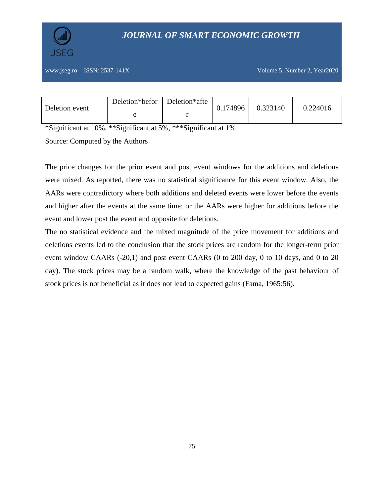

# *JOURNAL OF SMART ECONOMIC GROWTH*

| Deletion event | Deletion*befor Deletion*afte | 0.174896 | 0.323140 | 0.224016 |
|----------------|------------------------------|----------|----------|----------|
|                |                              |          |          |          |

\*Significant at 10%, \*\*Significant at 5%, \*\*\*Significant at 1%

Source: Computed by the Authors

The price changes for the prior event and post event windows for the additions and deletions were mixed. As reported, there was no statistical significance for this event window. Also, the AARs were contradictory where both additions and deleted events were lower before the events and higher after the events at the same time; or the AARs were higher for additions before the event and lower post the event and opposite for deletions.

The no statistical evidence and the mixed magnitude of the price movement for additions and deletions events led to the conclusion that the stock prices are random for the longer-term prior event window CAARs (-20,1) and post event CAARs (0 to 200 day, 0 to 10 days, and 0 to 20 day). The stock prices may be a random walk, where the knowledge of the past behaviour of stock prices is not beneficial as it does not lead to expected gains (Fama, 1965:56).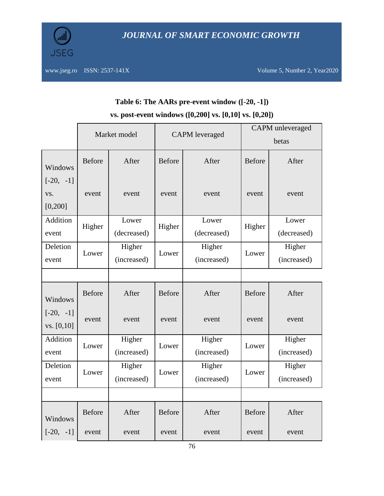

|                                |               | Market model<br><b>CAPM</b> leveraged<br>betas |               | <b>CAPM</b> unleveraged |               |                       |
|--------------------------------|---------------|------------------------------------------------|---------------|-------------------------|---------------|-----------------------|
| Windows                        | Before        | After                                          | <b>Before</b> | After                   | <b>Before</b> | After                 |
| $[-20, -1]$<br>VS.<br>[0, 200] | event         | event                                          | event         | event                   | event         | event                 |
| Addition<br>event              | Higher        | Lower<br>(decreased)                           | Higher        | Lower<br>(decreased)    | Higher        | Lower<br>(decreased)  |
| Deletion<br>event              | Lower         | Higher<br>(increased)                          | Lower         | Higher<br>(increased)   | Lower         | Higher<br>(increased) |
|                                |               |                                                |               |                         |               |                       |
| Windows                        | <b>Before</b> | After                                          | <b>Before</b> | After                   | <b>Before</b> | After                 |
| $[-20, -1]$<br>vs. [0, 10]     | event         | event                                          | event         | event                   | event         | event                 |
| Addition<br>event              | Lower         | Higher<br>(increased)                          | Lower         | Higher<br>(increased)   | Lower         | Higher<br>(increased) |
| Deletion<br>event              | Lower         | Higher<br>(increased)                          | Lower         | Higher<br>(increased)   | Lower         | Higher<br>(increased) |
|                                |               |                                                |               |                         |               |                       |
| Windows                        | <b>Before</b> | After                                          | <b>Before</b> | After                   | <b>Before</b> | After                 |
| $[-20, -1]$                    | event         | event                                          | event         | event                   | event         | event                 |

# **Table 6: The AARs pre-event window ([-20, -1]) vs. post-event windows ([0,200] vs. [0,10] vs. [0,20])**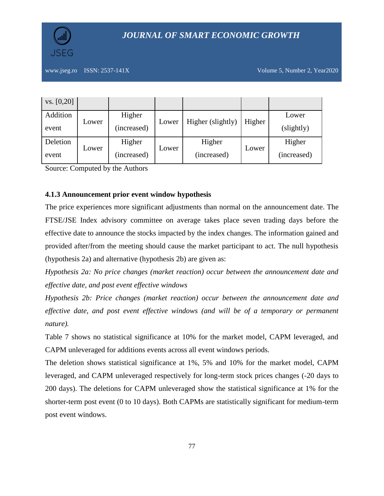# *JOURNAL OF SMART ECONOMIC GROWTH*

www.jseg.ro ISSN: 2537-141X Volume 5, Number 2, Year2020

| vs. [0, 20] |       |             |       |                   |        |             |
|-------------|-------|-------------|-------|-------------------|--------|-------------|
| Addition    | Lower | Higher      | Lower | Higher (slightly) | Higher | Lower       |
| event       |       | (increased) |       |                   |        | (slightly)  |
| Deletion    | Lower | Higher      | Lower | Higher            | Lower  | Higher      |
| event       |       | (increased) |       | (increased)       |        | (increased) |

Source: Computed by the Authors

## **4.1.3 Announcement prior event window hypothesis**

The price experiences more significant adjustments than normal on the announcement date. The FTSE/JSE Index advisory committee on average takes place seven trading days before the effective date to announce the stocks impacted by the index changes. The information gained and provided after/from the meeting should cause the market participant to act. The null hypothesis (hypothesis 2a) and alternative (hypothesis 2b) are given as:

*Hypothesis 2a: No price changes (market reaction) occur between the announcement date and effective date, and post event effective windows* 

*Hypothesis 2b: Price changes (market reaction) occur between the announcement date and effective date, and post event effective windows (and will be of a temporary or permanent nature).*

Table 7 shows no statistical significance at 10% for the market model, CAPM leveraged, and CAPM unleveraged for additions events across all event windows periods.

The deletion shows statistical significance at 1%, 5% and 10% for the market model, CAPM leveraged, and CAPM unleveraged respectively for long-term stock prices changes (-20 days to 200 days). The deletions for CAPM unleveraged show the statistical significance at 1% for the shorter-term post event (0 to 10 days). Both CAPMs are statistically significant for medium-term post event windows.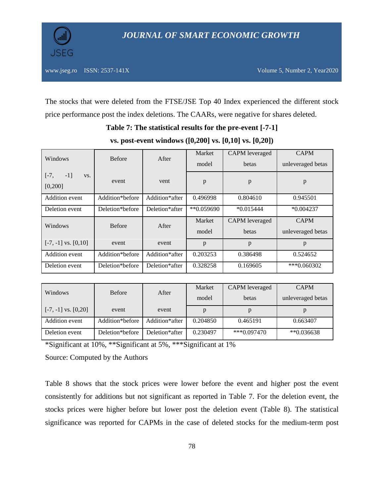The stocks that were deleted from the FTSE/JSE Top 40 Index experienced the different stock price performance post the index deletions. The CAARs, were negative for shares deleted.

## **Table 7: The statistical results for the pre-event [-7-1]**

| Windows                             | <b>Before</b>   | After          | Market<br>model | <b>CAPM</b> leveraged<br>betas | <b>CAPM</b><br>unleveraged betas |
|-------------------------------------|-----------------|----------------|-----------------|--------------------------------|----------------------------------|
| $-1$ ]<br>$[-7,$<br>VS.<br>[0, 200] | event           | vent           | p               | p                              | p                                |
| <b>Addition</b> event               | Addition*before | Addition*after | 0.496998        | 0.804610                       | 0.945501                         |
| Deletion event                      | Deletion*before |                | ** 0.059690     | $*0.015444$                    | $*0.004237$                      |
| Windows                             | <b>Before</b>   | After          | Market          | <b>CAPM</b> leveraged          | <b>CAPM</b>                      |
|                                     |                 |                | model           | betas                          | unleveraged betas                |
| $[-7, -1]$ vs. $[0, 10]$            | event           | event          | p               | p                              | p                                |
| Addition event                      | Addition*before | Addition*after | 0.203253        | 0.386498                       | 0.524652                         |
| Deletion event                      | Deletion*before | Deletion*after | 0.328258        | 0.169605                       | *** 0.060302                     |

**vs. post-event windows ([0,200] vs. [0,10] vs. [0,20])**

| Windows                  | <b>Before</b>   |                | Market   | CAPM leveraged | <b>CAPM</b>       |
|--------------------------|-----------------|----------------|----------|----------------|-------------------|
|                          |                 | After<br>model |          | betas          | unleveraged betas |
| $[-7, -1]$ vs. $[0, 20]$ | event           | event          |          |                |                   |
| Addition event           | Addition*before | Addition*after | 0.204850 | 0.465191       | 0.663407          |
| Deletion event           | Deletion*before | Deletion*after | 0.230497 | $***0.097470$  | $*$ $0.036638$    |

\*Significant at 10%, \*\*Significant at 5%, \*\*\*Significant at 1%

Source: Computed by the Authors

Table 8 shows that the stock prices were lower before the event and higher post the event consistently for additions but not significant as reported in Table 7. For the deletion event, the stocks prices were higher before but lower post the deletion event (Table 8). The statistical significance was reported for CAPMs in the case of deleted stocks for the medium-term post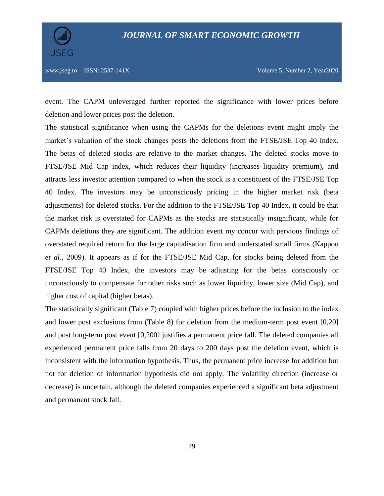

event. The CAPM unleveraged further reported the significance with lower prices before deletion and lower prices post the deletion.

The statistical significance when using the CAPMs for the deletions event might imply the market's valuation of the stock changes posts the deletions from the FTSE/JSE Top 40 Index. The betas of deleted stocks are relative to the market changes. The deleted stocks move to FTSE/JSE Mid Cap index, which reduces their liquidity (increases liquidity premium), and attracts less investor attention compared to when the stock is a constituent of the FTSE/JSE Top 40 Index. The investors may be unconsciously pricing in the higher market risk (beta adjustments) for deleted stocks. For the addition to the FTSE/JSE Top 40 Index, it could be that the market risk is overstated for CAPMs as the stocks are statistically insignificant, while for CAPMs deletions they are significant. The addition event my concur with pervious findings of overstated required return for the large capitalisation firm and understated small firms (Kappou *et al.*, 2009). It appears as if for the FTSE/JSE Mid Cap, for stocks being deleted from the FTSE/JSE Top 40 Index, the investors may be adjusting for the betas consciously or unconsciously to compensate for other risks such as lower liquidity, lower size (Mid Cap), and higher cost of capital (higher betas).

The statistically significant (Table 7) coupled with higher prices before the inclusion to the index and lower post exclusions from (Table 8) for deletion from the medium-term post event [0,20] and post long-term post event [0,200] justifies a permanent price fall. The deleted companies all experienced permanent price falls from 20 days to 200 days post the deletion event, which is inconsistent with the information hypothesis. Thus, the permanent price increase for addition but not for deletion of information hypothesis did not apply. The volatility direction (increase or decrease) is uncertain, although the deleted companies experienced a significant beta adjustment and permanent stock fall.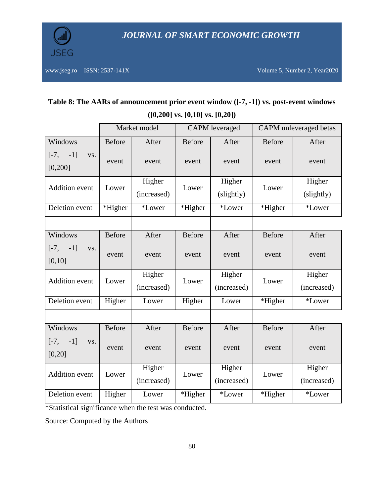

# **Table 8: The AARs of announcement prior event window ([-7, -1]) vs. post-event windows ([0,200] vs. [0,10] vs. [0,20])**

|                                     |               | Market model |               | <b>CAPM</b> leveraged |               | CAPM unleveraged betas |
|-------------------------------------|---------------|--------------|---------------|-----------------------|---------------|------------------------|
| Windows                             | <b>Before</b> | After        | <b>Before</b> | After                 | <b>Before</b> | After                  |
| $-1$ ]<br>$[-7,$<br>VS.<br>[0, 200] | event         | event        | event         | event                 | event         | event                  |
| <b>Addition</b> event               | Lower         | Higher       | Lower         | Higher                | Lower         | Higher                 |
|                                     |               | (increased)  |               | (slightly)            |               | (slightly)             |
| Deletion event                      | *Higher       | *Lower       | *Higher       | *Lower                | *Higher       | *Lower                 |
|                                     |               |              |               |                       |               |                        |
| Windows                             | <b>Before</b> | After        | <b>Before</b> | After                 | <b>Before</b> | After                  |
| $-1$ ]<br>$[-7,$<br>VS.             | event         | event        | event         | event                 | event         | event                  |
| [0,10]                              |               |              |               |                       |               |                        |
| <b>Addition</b> event               | Lower         | Higher       | Lower         | Higher                | Lower         | Higher                 |
|                                     |               | (increased)  |               | (increased)           |               | (increased)            |
| Deletion event                      | Higher        | Lower        | Higher        | Lower                 | *Higher       | *Lower                 |
|                                     |               |              |               |                       |               |                        |
| Windows                             | <b>Before</b> | After        | <b>Before</b> | After                 | Before        | After                  |
| $[-7,$<br>$-1]$<br>VS.              | event         | event        | event         | event                 | event         | event                  |
| [0, 20]                             |               |              |               |                       |               |                        |
| Addition event                      | Lower         | Higher       | Lower         | Higher                | Lower         | Higher                 |
|                                     |               | (increased)  |               | (increased)           |               | (increased)            |
| Deletion event                      | Higher        | Lower        | *Higher       | *Lower                | *Higher       | *Lower                 |

\*Statistical significance when the test was conducted.

Source: Computed by the Authors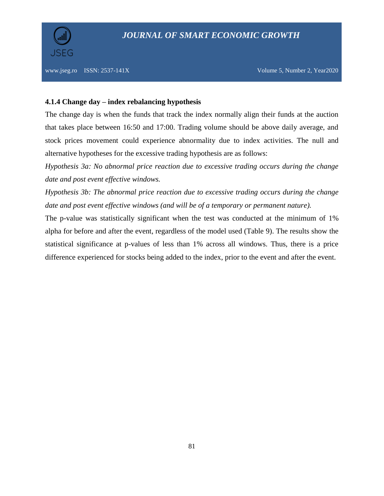

## **4.1.4 Change day – index rebalancing hypothesis**

The change day is when the funds that track the index normally align their funds at the auction that takes place between 16:50 and 17:00. Trading volume should be above daily average, and stock prices movement could experience abnormality due to index activities. The null and alternative hypotheses for the excessive trading hypothesis are as follows:

*Hypothesis 3a: No abnormal price reaction due to excessive trading occurs during the change date and post event effective windows.* 

*Hypothesis 3b: The abnormal price reaction due to excessive trading occurs during the change date and post event effective windows (and will be of a temporary or permanent nature).*

The p-value was statistically significant when the test was conducted at the minimum of 1% alpha for before and after the event, regardless of the model used (Table 9). The results show the statistical significance at p-values of less than 1% across all windows. Thus, there is a price difference experienced for stocks being added to the index, prior to the event and after the event.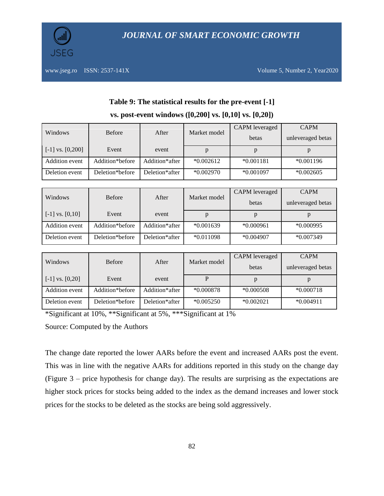

|                      | <b>Before</b>   |                | Market model | <b>CAPM</b> leveraged | <b>CAPM</b>       |
|----------------------|-----------------|----------------|--------------|-----------------------|-------------------|
| Windows              |                 | After          |              | betas                 | unleveraged betas |
| $[-1]$ vs. $[0,200]$ | Event           | event          | p            | p                     | p                 |
| Addition event       | Addition*before | Addition*after | $*0.002612$  | $*0.001181$           | $*0.001196$       |
| Deletion event       | Deletion*before | Deletion*after | $*0.002970$  | $*0.001097$           | $*0.002605$       |

# **Table 9: The statistical results for the pre-event [-1] vs. post-event windows ([0,200] vs. [0,10] vs. [0,20])**

|                     |                 |                |              | CAPM leveraged | <b>CAPM</b>       |
|---------------------|-----------------|----------------|--------------|----------------|-------------------|
| Windows             | <b>Before</b>   | After          | Market model | betas          | unleveraged betas |
| $[-1]$ vs. $[0,10]$ | Event           | event          | p            | p              |                   |
| Addition event      | Addition*before | Addition*after | $*0.001639$  | $*0.000961$    | $*0.000995$       |
| Deletion event      | Deletion*before | Deletion*after | $*0.011098$  | $*0.004907$    | $*0.007349$       |

|                     |                 |                |              | CAPM leveraged | <b>CAPM</b>       |
|---------------------|-----------------|----------------|--------------|----------------|-------------------|
| Windows             | <b>Before</b>   | After          | Market model | betas          | unleveraged betas |
| $[-1]$ vs. $[0,20]$ | Event           | event          |              |                |                   |
| Addition event      | Addition*before | Addition*after | $*0.000878$  | $*0.000508$    | $*0.000718$       |
| Deletion event      | Deletion*before | Deletion*after | $*0.005250$  | $*0.002021$    | $*0.004911$       |

\*Significant at 10%, \*\*Significant at 5%, \*\*\*Significant at 1%

Source: Computed by the Authors

The change date reported the lower AARs before the event and increased AARs post the event. This was in line with the negative AARs for additions reported in this study on the change day (Figure 3 – price hypothesis for change day). The results are surprising as the expectations are higher stock prices for stocks being added to the index as the demand increases and lower stock prices for the stocks to be deleted as the stocks are being sold aggressively.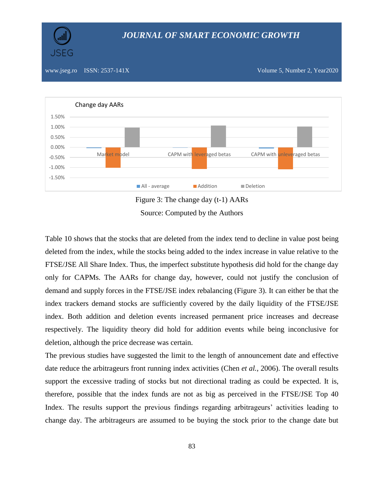

# *JOURNAL OF SMART ECONOMIC GROWTH*

www.jseg.ro ISSN: 2537-141X Volume 5, Number 2, Year2020



Figure 3: The change day (t-1) AARs Source: Computed by the Authors

Table 10 shows that the stocks that are deleted from the index tend to decline in value post being deleted from the index, while the stocks being added to the index increase in value relative to the FTSE/JSE All Share Index. Thus, the imperfect substitute hypothesis did hold for the change day only for CAPMs. The AARs for change day, however, could not justify the conclusion of demand and supply forces in the FTSE/JSE index rebalancing (Figure 3). It can either be that the index trackers demand stocks are sufficiently covered by the daily liquidity of the FTSE/JSE index. Both addition and deletion events increased permanent price increases and decrease respectively. The liquidity theory did hold for addition events while being inconclusive for deletion, although the price decrease was certain.

The previous studies have suggested the limit to the length of announcement date and effective date reduce the arbitrageurs front running index activities (Chen *et al.*, 2006). The overall results support the excessive trading of stocks but not directional trading as could be expected. It is, therefore, possible that the index funds are not as big as perceived in the FTSE/JSE Top 40 Index. The results support the previous findings regarding arbitrageurs' activities leading to change day. The arbitrageurs are assumed to be buying the stock prior to the change date but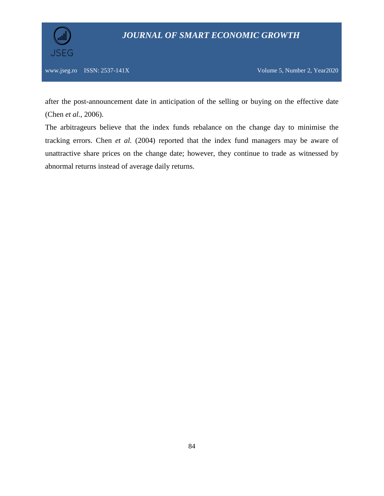

www.jseg.ro ISSN: 2537-141X Volume 5, Number 2, Year2020

after the post-announcement date in anticipation of the selling or buying on the effective date (Chen *et al.*, 2006).

The arbitrageurs believe that the index funds rebalance on the change day to minimise the tracking errors. Chen *et al.* (2004) reported that the index fund managers may be aware of unattractive share prices on the change date; however, they continue to trade as witnessed by abnormal returns instead of average daily returns.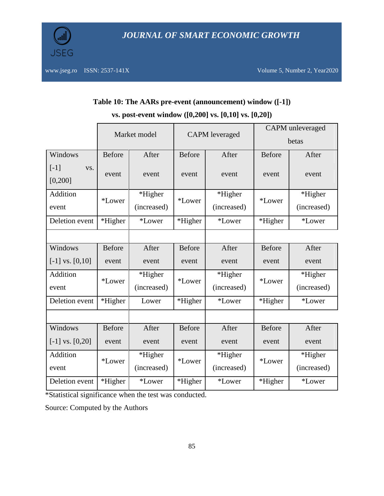

| Table 10: The AARs pre-event (announcement) window ([-1])    |  |
|--------------------------------------------------------------|--|
| vs. post-event window $([0,200]$ vs. $[0,10]$ vs. $[0,20]$ ) |  |

|                           |                   | Market model  | <b>CAPM</b> leveraged |               | <b>CAPM</b> unleveraged<br>betas |             |
|---------------------------|-------------------|---------------|-----------------------|---------------|----------------------------------|-------------|
| Windows                   | <b>Before</b>     | After         | <b>Before</b>         | After         | <b>Before</b>                    | After       |
| $[-1]$<br>VS.<br>[0, 200] | event             | event         | event                 | event         | event                            | event       |
| Addition                  | *Higher<br>*Lower |               | *Lower                | *Higher       | *Lower                           | *Higher     |
| event                     |                   | (increased)   |                       | (increased)   |                                  | (increased) |
| Deletion event            | *Higher           | *Lower        | *Higher<br>*Lower     |               | *Higher                          | *Lower      |
|                           |                   |               |                       |               |                                  |             |
| Windows                   | <b>Before</b>     | After         | <b>Before</b>         | After         | <b>Before</b>                    | After       |
| $[-1]$ vs. $[0,10]$       | event             | event         | event                 | event         | event                            | event       |
| Addition                  | *Lower            | *Higher       | <i>*Lower</i>         | *Higher       | *Lower                           | *Higher     |
| event                     |                   | (increased)   |                       | (increased)   |                                  | (increased) |
| Deletion event            | *Higher           | Lower         | *Higher               | <i>*Lower</i> | *Higher                          | *Lower      |
|                           |                   |               |                       |               |                                  |             |
| Windows                   | <b>Before</b>     | After         | <b>Before</b>         | After         | <b>Before</b>                    | After       |
| $[-1]$ vs. $[0,20]$       | event             | event         | event                 | event         | event                            | event       |
| Addition                  | *Lower            | *Higher       | <i>*Lower</i>         | *Higher       | *Lower                           | *Higher     |
| event                     |                   | (increased)   |                       | (increased)   |                                  | (increased) |
| Deletion event            | *Higher           | <i>*Lower</i> | *Higher               | *Lower        | *Higher                          | *Lower      |

\*Statistical significance when the test was conducted.

Source: Computed by the Authors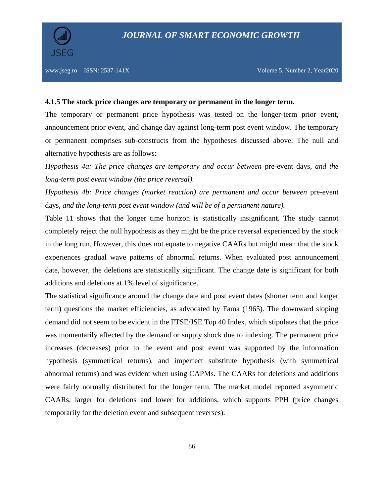

#### **4.1.5 The stock price changes are temporary or permanent in the longer term.**

The temporary or permanent price hypothesis was tested on the longer-term prior event, announcement prior event, and change day against long-term post event window. The temporary or permanent comprises sub-constructs from the hypotheses discussed above. The null and alternative hypothesis are as follows:

*Hypothesis 4a: The price changes are temporary and occur between* pre-event days*, and the long-term post event window (the price reversal).*

*Hypothesis 4b: Price changes (market reaction) are permanent and occur between* pre-event days*, and the long-term post event window (and will be of a permanent nature).*

Table 11 shows that the longer time horizon is statistically insignificant. The study cannot completely reject the null hypothesis as they might be the price reversal experienced by the stock in the long run. However, this does not equate to negative CAARs but might mean that the stock experiences gradual wave patterns of abnormal returns. When evaluated post announcement date, however, the deletions are statistically significant. The change date is significant for both additions and deletions at 1% level of significance.

The statistical significance around the change date and post event dates (shorter term and longer term) questions the market efficiencies, as advocated by Fama (1965). The downward sloping demand did not seem to be evident in the FTSE/JSE Top 40 Index, which stipulates that the price was momentarily affected by the demand or supply shock due to indexing. The permanent price increases (decreases) prior to the event and post event was supported by the information hypothesis (symmetrical returns), and imperfect substitute hypothesis (with symmetrical abnormal returns) and was evident when using CAPMs. The CAARs for deletions and additions were fairly normally distributed for the longer term. The market model reported asymmetric CAARs, larger for deletions and lower for additions, which supports PPH (price changes temporarily for the deletion event and subsequent reverses).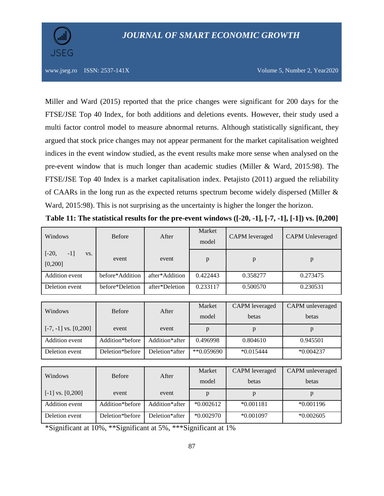Miller and Ward (2015) reported that the price changes were significant for 200 days for the FTSE/JSE Top 40 Index, for both additions and deletions events. However, their study used a multi factor control model to measure abnormal returns. Although statistically significant, they argued that stock price changes may not appear permanent for the market capitalisation weighted indices in the event window studied, as the event results make more sense when analysed on the pre-event window that is much longer than academic studies (Miller & Ward, 2015:98). The FTSE/JSE Top 40 Index is a market capitalisation index. Petajisto (2011) argued the reliability of CAARs in the long run as the expected returns spectrum become widely dispersed (Miller & Ward, 2015:98). This is not surprising as the uncertainty is higher the longer the horizon.

| Windows                              | <b>Before</b>   | After          | Market<br>model | <b>CAPM</b> leveraged | <b>CAPM</b> Unleveraged |
|--------------------------------------|-----------------|----------------|-----------------|-----------------------|-------------------------|
| $[-20,$<br>$-1$ ]<br>VS.<br>[0, 200] | event           | event          | p               |                       | p                       |
| Addition event                       | before*Addition | after*Addition | 0.422443        | 0.358277              | 0.273475                |
| Deletion event                       | before*Deletion | after*Deletion | 0.233117        | 0.500570              | 0.230531                |

| Windows                               | <b>Before</b>   | After          | Market<br>model  | CAPM leveraged<br>betas | CAPM unleveraged<br>betas |
|---------------------------------------|-----------------|----------------|------------------|-------------------------|---------------------------|
| $\lceil -7, -1 \rceil$ vs. $[0, 200]$ | event           | event          |                  |                         |                           |
| Addition event                        | Addition*before | Addition*after | 0.496998         | 0.804610                | 0.945501                  |
| Deletion event                        | Deletion*before | Deletion*after | $*$ $(0.059690)$ | $*0.015444$             | $*0.004237$               |

| Windows                    |                 |                | Market      | CAPM leveraged | CAPM unleveraged |
|----------------------------|-----------------|----------------|-------------|----------------|------------------|
|                            | <b>Before</b>   | After          | model       | betas          | betas            |
| $\lfloor$ [-1] vs. [0,200] | event           | event          |             |                |                  |
| Addition event             | Addition*before | Addition*after | $*0.002612$ | $*0.001181$    | $*0.001196$      |
| Deletion event             | Deletion*before | Deletion*after | $*0.002970$ | $*0.001097$    | $*0.002605$      |

\*Significant at 10%, \*\*Significant at 5%, \*\*\*Significant at 1%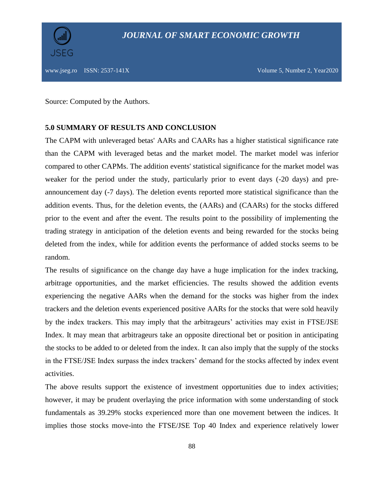Source: Computed by the Authors.

## **5.0 SUMMARY OF RESULTS AND CONCLUSION**

The CAPM with unleveraged betas' AARs and CAARs has a higher statistical significance rate than the CAPM with leveraged betas and the market model. The market model was inferior compared to other CAPMs. The addition events' statistical significance for the market model was weaker for the period under the study, particularly prior to event days (-20 days) and preannouncement day (-7 days). The deletion events reported more statistical significance than the addition events. Thus, for the deletion events, the (AARs) and (CAARs) for the stocks differed prior to the event and after the event. The results point to the possibility of implementing the trading strategy in anticipation of the deletion events and being rewarded for the stocks being deleted from the index, while for addition events the performance of added stocks seems to be random.

The results of significance on the change day have a huge implication for the index tracking, arbitrage opportunities, and the market efficiencies. The results showed the addition events experiencing the negative AARs when the demand for the stocks was higher from the index trackers and the deletion events experienced positive AARs for the stocks that were sold heavily by the index trackers. This may imply that the arbitrageurs' activities may exist in FTSE/JSE Index. It may mean that arbitrageurs take an opposite directional bet or position in anticipating the stocks to be added to or deleted from the index. It can also imply that the supply of the stocks in the FTSE/JSE Index surpass the index trackers' demand for the stocks affected by index event activities.

The above results support the existence of investment opportunities due to index activities; however, it may be prudent overlaying the price information with some understanding of stock fundamentals as 39.29% stocks experienced more than one movement between the indices. It implies those stocks move-into the FTSE/JSE Top 40 Index and experience relatively lower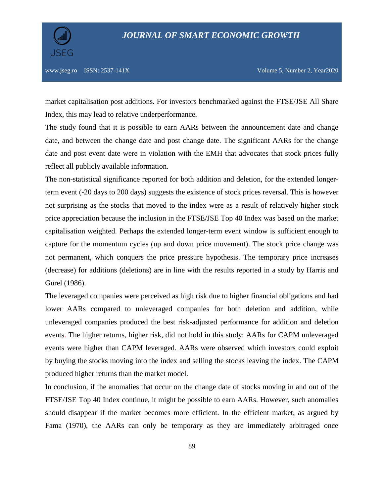

market capitalisation post additions. For investors benchmarked against the FTSE/JSE All Share Index, this may lead to relative underperformance.

The study found that it is possible to earn AARs between the announcement date and change date, and between the change date and post change date. The significant AARs for the change date and post event date were in violation with the EMH that advocates that stock prices fully reflect all publicly available information.

The non-statistical significance reported for both addition and deletion, for the extended longerterm event (-20 days to 200 days) suggests the existence of stock prices reversal. This is however not surprising as the stocks that moved to the index were as a result of relatively higher stock price appreciation because the inclusion in the FTSE/JSE Top 40 Index was based on the market capitalisation weighted. Perhaps the extended longer-term event window is sufficient enough to capture for the momentum cycles (up and down price movement). The stock price change was not permanent, which conquers the price pressure hypothesis. The temporary price increases (decrease) for additions (deletions) are in line with the results reported in a study by Harris and Gurel (1986).

The leveraged companies were perceived as high risk due to higher financial obligations and had lower AARs compared to unleveraged companies for both deletion and addition, while unleveraged companies produced the best risk-adjusted performance for addition and deletion events. The higher returns, higher risk, did not hold in this study: AARs for CAPM unleveraged events were higher than CAPM leveraged. AARs were observed which investors could exploit by buying the stocks moving into the index and selling the stocks leaving the index. The CAPM produced higher returns than the market model.

In conclusion, if the anomalies that occur on the change date of stocks moving in and out of the FTSE/JSE Top 40 Index continue, it might be possible to earn AARs. However, such anomalies should disappear if the market becomes more efficient. In the efficient market, as argued by Fama (1970), the AARs can only be temporary as they are immediately arbitraged once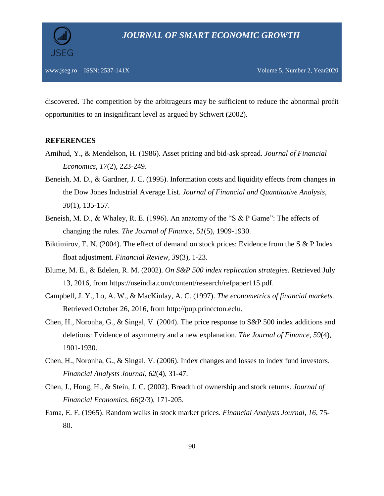discovered. The competition by the arbitrageurs may be sufficient to reduce the abnormal profit opportunities to an insignificant level as argued by Schwert (2002).

## **REFERENCES**

- Amihud, Y., & Mendelson, H. (1986). Asset pricing and bid-ask spread. *Journal of Financial Economics, 17*(2), 223-249.
- Beneish, M. D., & Gardner, J. C. (1995). Information costs and liquidity effects from changes in the Dow Jones Industrial Average List. *Journal of Financial and Quantitative Analysis, 30*(1), 135-157.
- Beneish, M. D., & Whaley, R. E. (1996). An anatomy of the "S & P Game": The effects of changing the rules. *The Journal of Finance, 51*(5), 1909-1930.
- Biktimirov, E. N. (2004). The effect of demand on stock prices: Evidence from the S & P Index float adjustment. *Financial Review, 39*(3), 1-23.
- Blume, M. E., & Edelen, R. M. (2002). *On S&P 500 index replication strategies.* Retrieved July 13, 2016, from https://nseindia.com/content/research/refpaper115.pdf.
- Campbell, J. Y., Lo, A. W., & MacKinlay, A. C. (1997). *The econometrics of financial markets.* Retrieved October 26, 2016, from http://pup.princcton.eclu.
- Chen, H., Noronha, G., & Singal, V. (2004). The price response to S&P 500 index additions and deletions: Evidence of asymmetry and a new explanation. *The Journal of Finance, 59*(4), 1901-1930.
- Chen, H., Noronha, G., & Singal, V. (2006). Index changes and losses to index fund investors. *Financial Analysts Journal, 62*(4), 31-47.
- Chen, J., Hong, H., & Stein, J. C. (2002). Breadth of ownership and stock returns. *Journal of Financial Economics, 66*(2/3), 171-205.
- Fama, E. F. (1965). Random walks in stock market prices. *Financial Analysts Journal, 16*, 75- 80.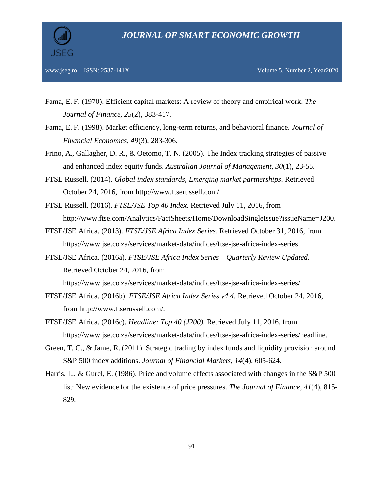

- Fama, E. F. (1970). Efficient capital markets: A review of theory and empirical work. *The Journal of Finance, 25*(2), 383-417.
- Fama, E. F. (1998). Market efficiency, long-term returns, and behavioral finance. *Journal of Financial Economics, 49*(3), 283-306.
- Frino, A., Gallagher, D. R., & Oetomo, T. N. (2005). The Index tracking strategies of passive and enhanced index equity funds. *Australian Journal of Management, 30*(1), 23-55.
- FTSE Russell. (2014). *Global index standards, Emerging market partnerships*. Retrieved October 24, 2016, from http://www.ftserussell.com/.
- FTSE Russell. (2016). *FTSE/JSE Top 40 Index.* Retrieved July 11, 2016, from http://www.ftse.com/Analytics/FactSheets/Home/DownloadSingleIssue?issueName=J200.
- FTSE/JSE Africa. (2013). *FTSE/JSE Africa Index Series.* Retrieved October 31, 2016, from https://www.jse.co.za/services/market-data/indices/ftse-jse-africa-index-series.
- FTSE/JSE Africa. (2016a). *FTSE/JSE Africa Index Series – Quarterly Review Updated*. Retrieved October 24, 2016, from

https://www.jse.co.za/services/market-data/indices/ftse-jse-africa-index-series/

- FTSE/JSE Africa. (2016b). *FTSE/JSE Africa Index Series v4.4.* Retrieved October 24, 2016, from http://www.ftserussell.com/.
- FTSE/JSE Africa. (2016c). *Headline: Top 40 (J200).* Retrieved July 11, 2016, from https://www.jse.co.za/services/market-data/indices/ftse-jse-africa-index-series/headline.
- Green, T. C., & Jame, R. (2011). Strategic trading by index funds and liquidity provision around S&P 500 index additions. *Journal of Financial Markets, 14*(4), 605-624.
- Harris, L., & Gurel, E. (1986). Price and volume effects associated with changes in the S&P 500 list: New evidence for the existence of price pressures. *The Journal of Finance, 41*(4), 815- 829.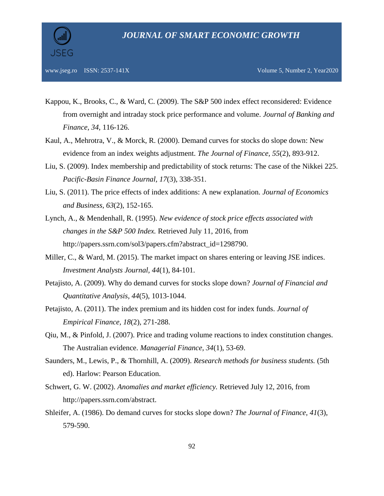

- Kappou, K., Brooks, C., & Ward, C. (2009). The S&P 500 index effect reconsidered: Evidence from overnight and intraday stock price performance and volume. *Journal of Banking and Finance, 34*, 116-126.
- Kaul, A., Mehrotra, V., & Morck, R. (2000). Demand curves for stocks do slope down: New evidence from an index weights adjustment. *The Journal of Finance, 55*(2), 893-912.
- Liu, S. (2009). Index membership and predictability of stock returns: The case of the Nikkei 225. *Pacific-Basin Finance Journal, 17*(3), 338-351.
- Liu, S. (2011). The price effects of index additions: A new explanation. *Journal of Economics and Business, 63*(2), 152-165.
- Lynch, A., & Mendenhall, R. (1995). *New evidence of stock price effects associated with changes in the S&P 500 Index.* Retrieved July 11, 2016, from http://papers.ssrn.com/sol3/papers.cfm?abstract\_id=1298790.
- Miller, C., & Ward, M. (2015). The market impact on shares entering or leaving JSE indices. *Investment Analysts Journal, 44*(1), 84-101.
- Petajisto, A. (2009). Why do demand curves for stocks slope down? *Journal of Financial and Quantitative Analysis, 44*(5), 1013-1044.
- Petajisto, A. (2011). The index premium and its hidden cost for index funds. *Journal of Empirical Finance, 18*(2)*,* 271-288.
- Qiu, M., & Pinfold, J. (2007). Price and trading volume reactions to index constitution changes. The Australian evidence. *Managerial Finance, 34*(1), 53-69.
- Saunders, M., Lewis, P., & Thornhill, A. (2009). *Research methods for business students.* (5th ed). Harlow: Pearson Education.
- Schwert, G. W. (2002). *Anomalies and market efficiency.* Retrieved July 12, 2016, from http://papers.ssrn.com/abstract.
- Shleifer, A. (1986). Do demand curves for stocks slope down? *The Journal of Finance, 41*(3), 579-590.